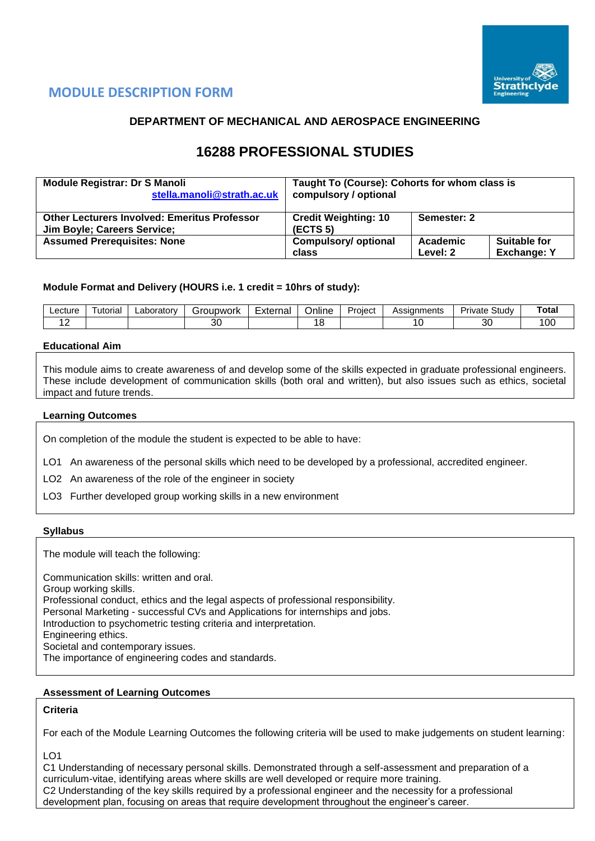

# **MODULE DESCRIPTION FORM**

## **DEPARTMENT OF MECHANICAL AND AEROSPACE ENGINEERING**

# **16288 PROFESSIONAL STUDIES**

| <b>Module Registrar: Dr S Manoli</b>                                                      | Taught To (Course): Cohorts for whom class is       |             |                    |  |  |  |  |
|-------------------------------------------------------------------------------------------|-----------------------------------------------------|-------------|--------------------|--|--|--|--|
| stella.manoli@strath.ac.uk                                                                | compulsory / optional                               |             |                    |  |  |  |  |
| <b>Other Lecturers Involved: Emeritus Professor</b><br><b>Jim Boyle; Careers Service;</b> | <b>Credit Weighting: 10</b><br>(ECTS <sub>5</sub> ) | Semester: 2 |                    |  |  |  |  |
| <b>Assumed Prerequisites: None</b>                                                        | <b>Compulsory/ optional</b>                         | Academic    | Suitable for       |  |  |  |  |
|                                                                                           | class                                               | Level: 2    | <b>Exchange: Y</b> |  |  |  |  |

## **Module Format and Delivery (HOURS i.e. 1 credit = 10hrs of study):**

| ∟ecture | utorial | ∟aboratorv | iroupwork | -<br>Externa | <br>--<br>Online | -<br>Project | Assignments | Driv<br>Studv<br>rivate | Total |
|---------|---------|------------|-----------|--------------|------------------|--------------|-------------|-------------------------|-------|
|         |         |            | 30        |              |                  |              |             | $\Omega$<br>ند          | 100   |

## **Educational Aim**

This module aims to create awareness of and develop some of the skills expected in graduate professional engineers. These include development of communication skills (both oral and written), but also issues such as ethics, societal impact and future trends.

#### **Learning Outcomes**

On completion of the module the student is expected to be able to have:

LO1 An awareness of the personal skills which need to be developed by a professional, accredited engineer.

LO2 An awareness of the role of the engineer in society

LO3 Further developed group working skills in a new environment

#### **Syllabus**

The module will teach the following:

Communication skills: written and oral. Group working skills. Professional conduct, ethics and the legal aspects of professional responsibility. Personal Marketing - successful CVs and Applications for internships and jobs. Introduction to psychometric testing criteria and interpretation. Engineering ethics. Societal and contemporary issues. The importance of engineering codes and standards.

### **Assessment of Learning Outcomes**

### **Criteria**

For each of the Module Learning Outcomes the following criteria will be used to make judgements on student learning:

LO1

C1 Understanding of necessary personal skills. Demonstrated through a self-assessment and preparation of a curriculum-vitae, identifying areas where skills are well developed or require more training. C2 Understanding of the key skills required by a professional engineer and the necessity for a professional development plan, focusing on areas that require development throughout the engineer's career.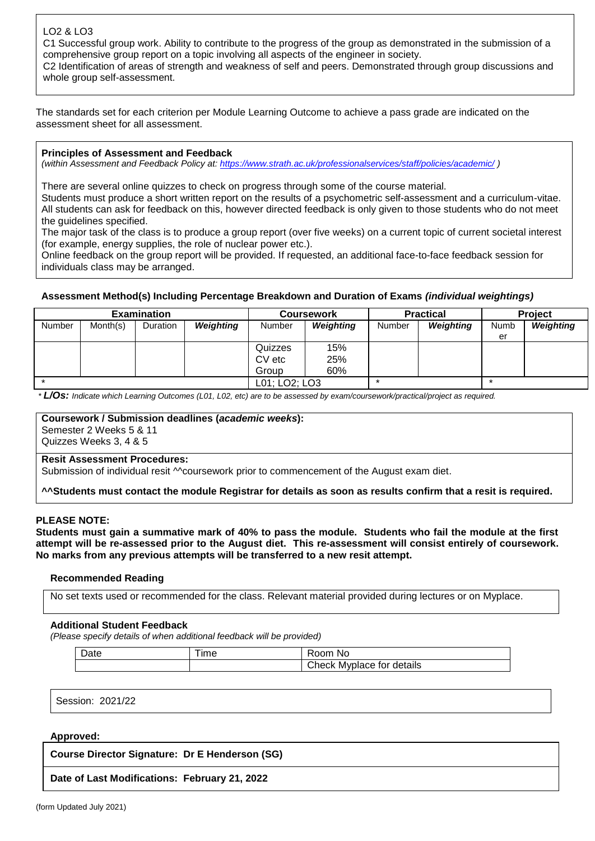## LO2 & LO3

C1 Successful group work. Ability to contribute to the progress of the group as demonstrated in the submission of a comprehensive group report on a topic involving all aspects of the engineer in society.

C2 Identification of areas of strength and weakness of self and peers. Demonstrated through group discussions and whole group self-assessment.

The standards set for each criterion per Module Learning Outcome to achieve a pass grade are indicated on the assessment sheet for all assessment.

## **Principles of Assessment and Feedback**

*(within Assessment and Feedback Policy at: <https://www.strath.ac.uk/professionalservices/staff/policies/academic/> )*

There are several online quizzes to check on progress through some of the course material.

Students must produce a short written report on the results of a psychometric self-assessment and a curriculum-vitae. All students can ask for feedback on this, however directed feedback is only given to those students who do not meet the guidelines specified.

The major task of the class is to produce a group report (over five weeks) on a current topic of current societal interest (for example, energy supplies, the role of nuclear power etc.).

Online feedback on the group report will be provided. If requested, an additional face-to-face feedback session for individuals class may be arranged.

## **Assessment Method(s) Including Percentage Breakdown and Duration of Exams** *(individual weightings)*

|        |          | <b>Examination</b> |               |         | <b>Coursework</b> |        | <b>Practical</b> | <b>Project</b> |           |  |
|--------|----------|--------------------|---------------|---------|-------------------|--------|------------------|----------------|-----------|--|
| Number | Month(s) | <b>Duration</b>    | Weighting     | Number  | <b>Weighting</b>  | Number | Weighting        | Numb           | Weighting |  |
|        |          |                    |               |         |                   |        |                  | er             |           |  |
|        |          |                    |               | Quizzes | 15%               |        |                  |                |           |  |
|        |          |                    |               | CV etc  | 25%               |        |                  |                |           |  |
|        |          |                    |               | Group   | 60%               |        |                  |                |           |  |
|        |          |                    | L01; LO2; LO3 |         | $\star$           |        | $\star$          |                |           |  |

*\* L/Os: Indicate which Learning Outcomes (L01, L02, etc) are to be assessed by exam/coursework/practical/project as required.*

## **Coursework / Submission deadlines (***academic weeks***):**

Semester 2 Weeks 5 & 11 Quizzes Weeks 3, 4 & 5

### **Resit Assessment Procedures:**

Submission of individual resit <sup>M</sup>coursework prior to commencement of the August exam diet.

**^^Students must contact the module Registrar for details as soon as results confirm that a resit is required.**

## **PLEASE NOTE:**

**Students must gain a summative mark of 40% to pass the module. Students who fail the module at the first attempt will be re-assessed prior to the August diet. This re-assessment will consist entirely of coursework. No marks from any previous attempts will be transferred to a new resit attempt.**

### **Recommended Reading**

No set texts used or recommended for the class. Relevant material provided during lectures or on Myplace.

### **Additional Student Feedback**

*(Please specify details of when additional feedback will be provided)*

| Date | ıme | . No<br>. <oom< th=""></oom<>  |
|------|-----|--------------------------------|
|      |     | Check<br>: Mvplace for details |

Session: 2021/22

### **Approved:**

**Course Director Signature: Dr E Henderson (SG)**

**Date of Last Modifications: February 21, 2022**